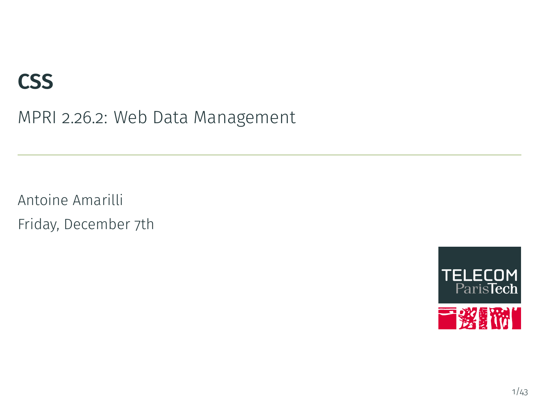# **CSS**

MPRI 2.26.2: Web Data Management

Antoine Amarilli Friday, December 7th

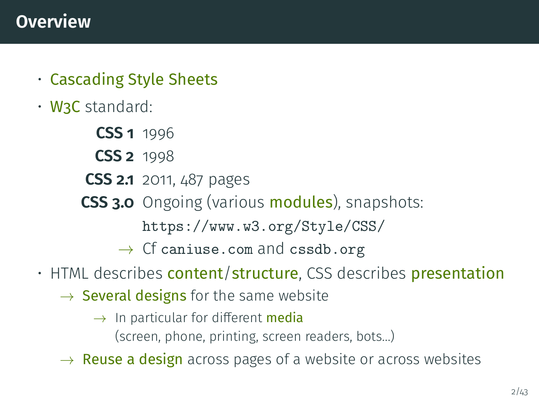- <span id="page-1-0"></span>• Cascading Style Sheets
- W3C standard:
	- **CSS 1** 1996
	- **CSS 2** 1998
	- **CSS 2.1** 2011, 487 pages
	- **CSS 3.0** Ongoing (various modules), snapshots:
		- <https://www.w3.org/Style/CSS/>
		- $\rightarrow$  Cf <caniuse.com> and <cssdb.org>
- HTML describes **content/structure**, CSS describes **presentation** 
	- $\rightarrow$  **Several designs** for the same website
		- $\rightarrow$  In particular for different **media** (screen, phone, printing, screen readers, bots...)
	- $\rightarrow$  **Reuse a design** across pages of a website or across websites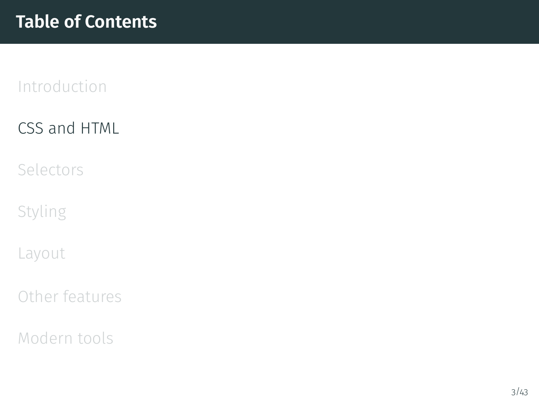# <span id="page-2-0"></span>[CSS and HTML](#page-2-0)

[Selectors](#page-10-0)

[Styling](#page-14-0)

[Layout](#page-20-0)

[Other features](#page-31-0)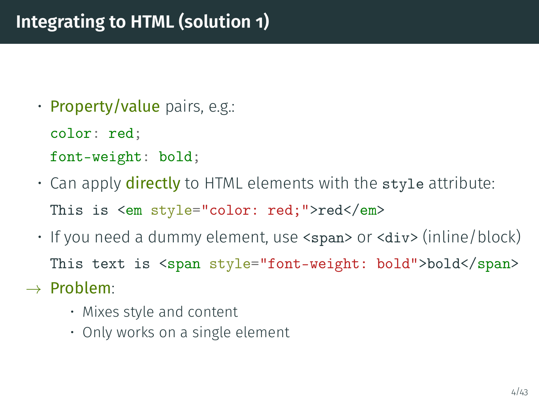- Property/value pairs, e.g.:
	- color: red;
	- font-weight: bold;
- Can apply **directly** to HTML elements with the style attribute: This is <em style="color: red;">red</em>
- If you need a dummy element, use <span> or <div> (inline/block) This text is <span style="font-weight: bold">bold</span>
- $\rightarrow$  Problem:
	- Mixes style and content
	- Only works on a single element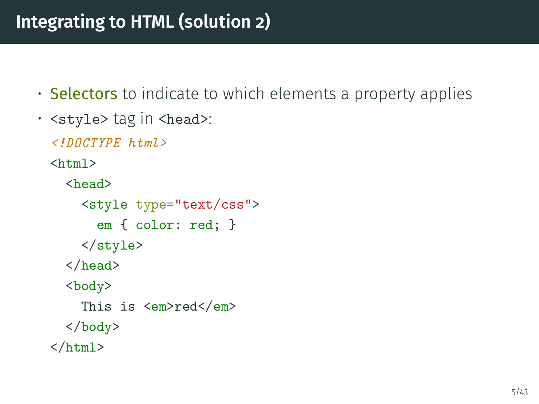# **Integrating to HTML (solution 2)**

- Selectors to indicate to which elements a property applies
- <style> tag in <head>:

<!DOCTYPE html>

 $\hbox{\tt >}$ 

<head> <style type="text/css"> em { color: red; } </style> </head>

<body>

This is <em>red</em>

</body>

 $\langle$ /html>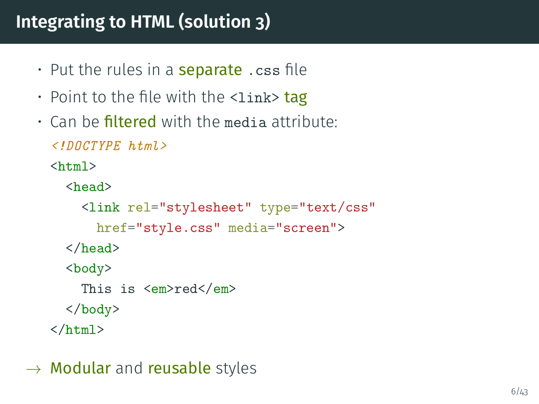# **Integrating to HTML (solution 3)**

- Put the rules in a **separate** .css file
- Point to the file with the  $\langle$ link> tag
- $\cdot$  Can be filtered with the media attribute:

```
<!DOCTYPE html>
```
 $\hbox{\tt >}$ 

```
<head>
  <link rel="stylesheet" type="text/css"
    href="style.css" media="screen">
</head>
<body>
 This is <em>red</em>
</body>
```
 $\langle$ /html>

 $\rightarrow$  Modular and reusable styles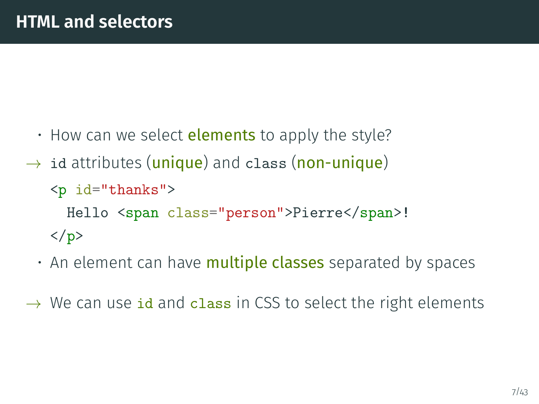- How can we select **elements** to apply the style?
- $\rightarrow$  id attributes (unique) and class (non-unique) <p id="thanks"> Hello <span class="person">Pierre</span>!  $\langle$ /p>
	- $\cdot$  An element can have **multiple classes** separated by spaces
- $\rightarrow$  We can use id and class in CSS to select the right elements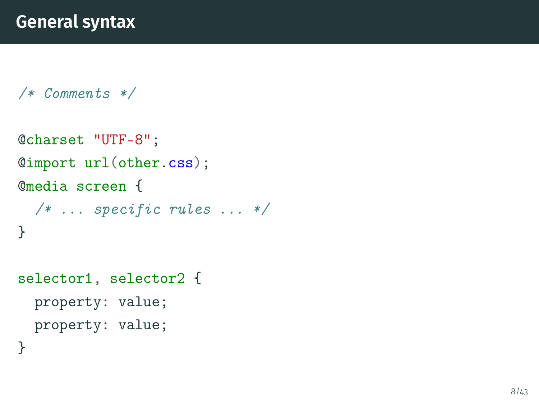```
/* Comments */
```

```
@charset "UTF-8";
@import url(other.css);
@media screen {
  /* \dots specific rules \dots */
}
```

```
selector1, selector2 {
  property: value;
  property: value;
```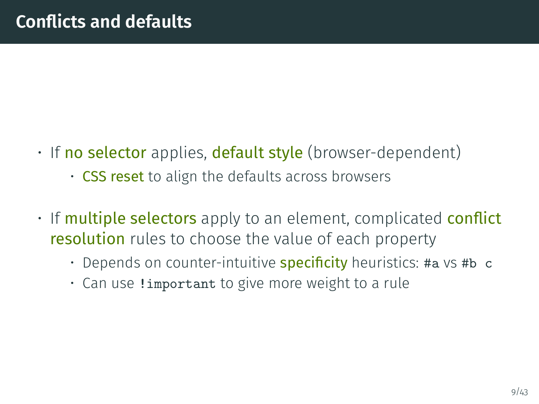- If no selector applies, default style (browser-dependent)
	- CSS reset to align the defaults across browsers
- If multiple selectors apply to an element, complicated conflict **resolution** rules to choose the value of each property
	- Depends on counter-intuitive **specificity** heuristics: #a vs #b c
	- Can use !important to give more weight to a rule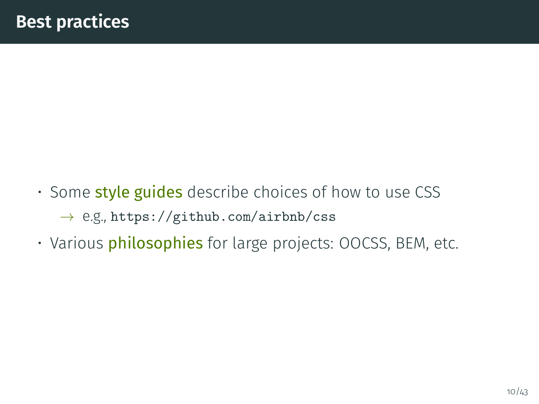- Some style guides describe choices of how to use CSS  $\rightarrow$  e.g., <https://github.com/airbnb/css>
- Various philosophies for large projects: OOCSS, BEM, etc.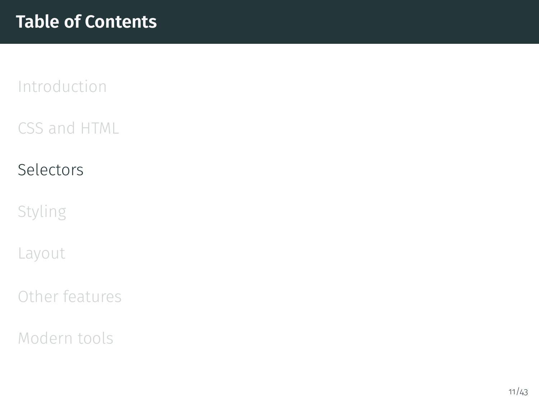<span id="page-10-0"></span>[CSS and HTML](#page-2-0)

# [Selectors](#page-10-0)

[Styling](#page-14-0)

[Layout](#page-20-0)

[Other features](#page-31-0)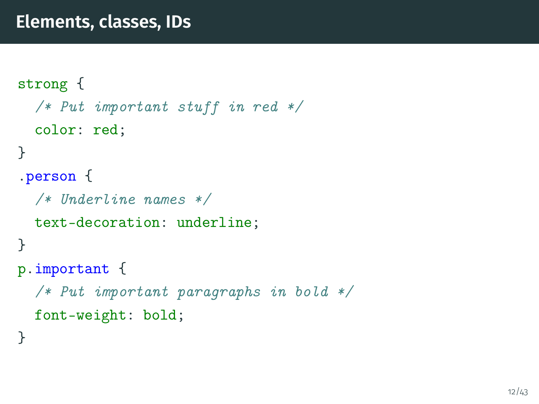```
strong {
  /* Put important stuff in red */color: red;
}
.person {
  /* Underline names */
  text-decoration: underline;
}
p.important {
  /* Put important paragraphs in bold */
  font-weight: bold;
}
```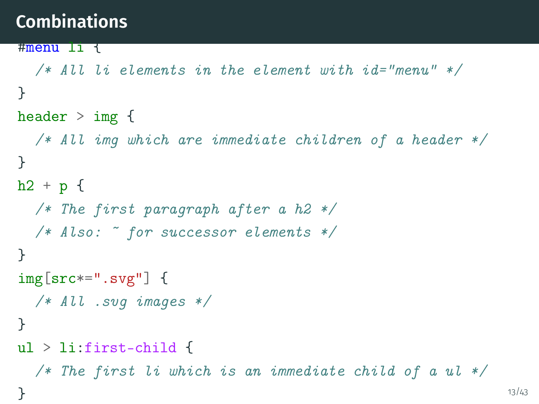# **Combinations**

}

```
#menu li {
  /* All li elements in the element with id="menu" */
}
header > img {
  /* All img which are immediate children of a header */
}
h2 + p f/* The first paragraph after a h2 */
  /* Also: * for successor elements */}
img[src*=".svg"] {
  /* All .svg images */}
ul > li:first-child {
  /* The first li which is an immediate child of a ul */
```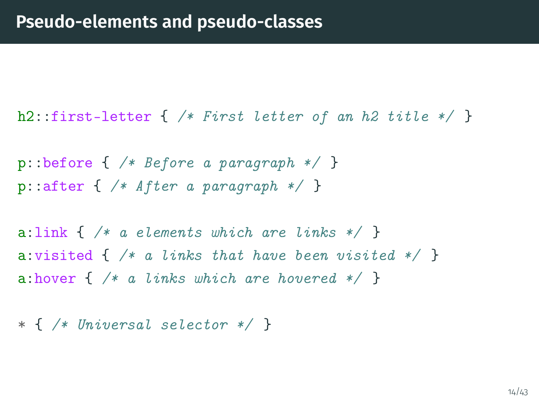h2::first-letter  $\{$  /\* First letter of an h2 title \*/ }

p::before  $\{$  /\* Before a paragraph \*/  $\}$ p::after  $\{\n /* After a paragraph */\n}$ 

a: link  $\{\n\}/\ast$  a elements which are links  $\ast/\dag$ a: visited  $\{$  /\* a links that have been visited \*/  $\}$ a:hover  $\{$  /\* a links which are hovered \*/  $\}$ 

\* { /\* Universal selector \*/ }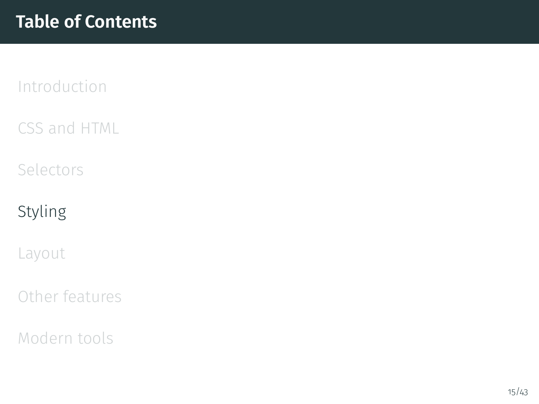<span id="page-14-0"></span>[CSS and HTML](#page-2-0)

[Selectors](#page-10-0)

# [Styling](#page-14-0)

[Layout](#page-20-0)

[Other features](#page-31-0)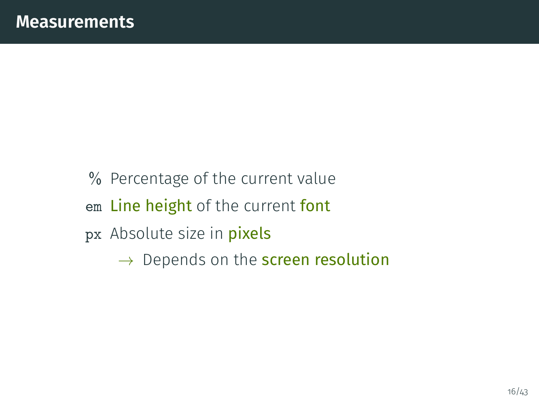% Percentage of the current value em Line height of the current font px Absolute size in pixels  $\rightarrow$  Depends on the **screen resolution**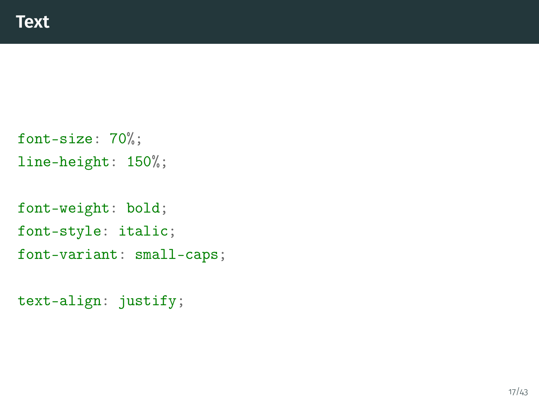```
font-size: 70%;
line-height: 150%;
```

```
font-weight: bold;
font-style: italic;
font-variant: small-caps;
```

```
text-align: justify;
```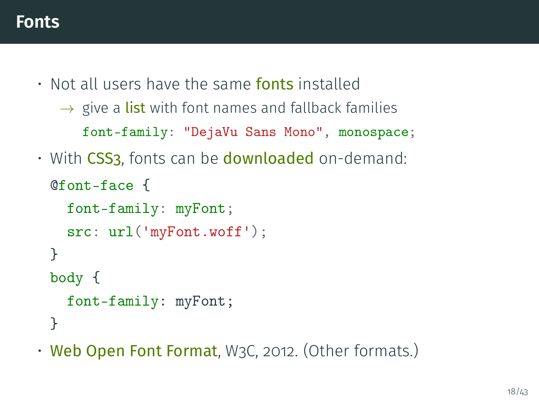• Not all users have the same **fonts** installed

```
\rightarrow give a list with font names and fallback families
   font-family: "DejaVu Sans Mono", monospace;
```
• With CSS3, fonts can be **downloaded** on-demand:

```
@font-face {
  font-family: myFont;
  src: url('myFont.woff');
}
body {
  font-family: myFont;
}
```
• Web Open Font Format, W3C, 2012. (Other formats.)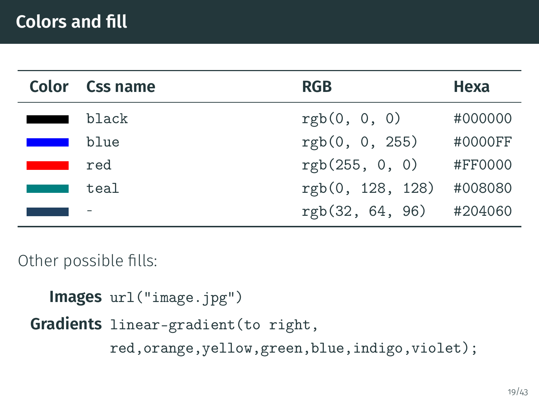|                                                                                                                       | Color Css name | <b>RGB</b>       | Hexa    |
|-----------------------------------------------------------------------------------------------------------------------|----------------|------------------|---------|
|                                                                                                                       | black          | rgb(0, 0, 0)     | #000000 |
| <b>Contract Contract Contract Contract Contract Contract Contract Contract Contract Contract Contract Contract Co</b> | blue           | rgb(0, 0, 255)   | #0000FF |
|                                                                                                                       | red            | rgb(255, 0, 0)   | #FF0000 |
|                                                                                                                       | teal           | rgb(0, 128, 128) | #008080 |
|                                                                                                                       |                | rgb(32, 64, 96)  | #204060 |

Other possible fills:

```
Images url("image.jpg")
Gradients linear-gradient(to right,
         red,orange,yellow,green,blue,indigo,violet);
```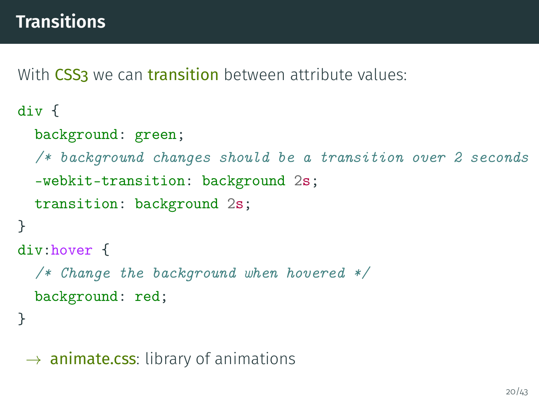With CSS3 we can transition between attribute values:

```
div {
  background: green;
  /* background changes should be a transition over 2 seconds
  -webkit-transition: background 2s;
  transition: background 2s;
}
div:hover {
  /* Change the background when hovered */
  background: red;
}
```
 $\rightarrow$  animate.css: library of animations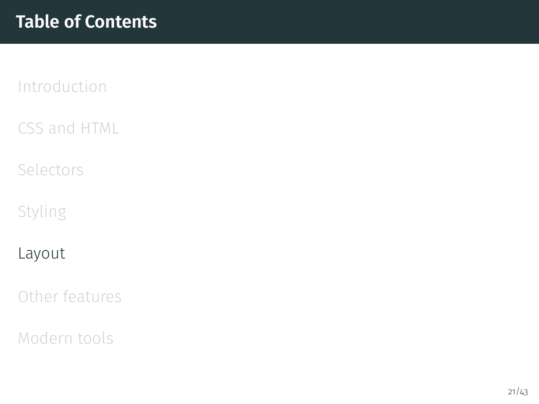<span id="page-20-0"></span>[CSS and HTML](#page-2-0)

[Selectors](#page-10-0)

[Styling](#page-14-0)

#### [Layout](#page-20-0)

[Other features](#page-31-0)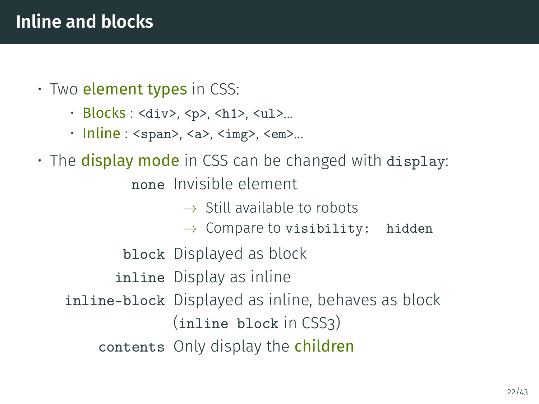- $\cdot$  Two element types in CSS:
	- Blocks : <div>, <p>, <h1>, <ul>...
	- $\cdot$  Inline : <span>, <a>, <img>, <em>...
- $\cdot$  The **display mode** in CSS can be changed with display: none Invisible element
	- $\rightarrow$  Still available to robots
	- $\rightarrow$  Compare to visibility: hidden
	- block Displayed as block
	- inline Display as inline
	- inline-block Displayed as inline, behaves as block (inline block in CSS3)
		- contents Only display the children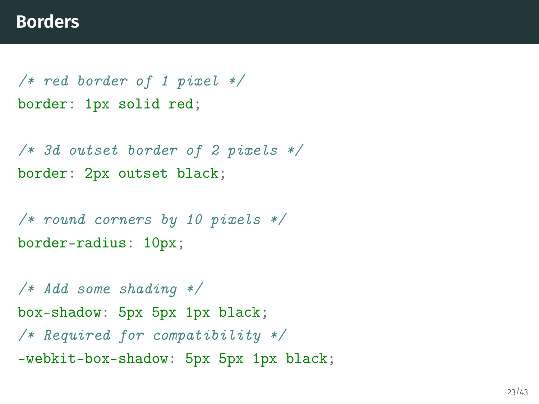/\* red border of 1 pixel \*/ border: 1px solid red;

/\* 3d outset border of 2 pixels \*/ border: 2px outset black;

/\* round corners by 10 pixels \*/ border-radius: 10px;

/\* Add some shading \*/ box-shadow: 5px 5px 1px black; /\* Required for compatibility \*/ -webkit-box-shadow: 5px 5px 1px black;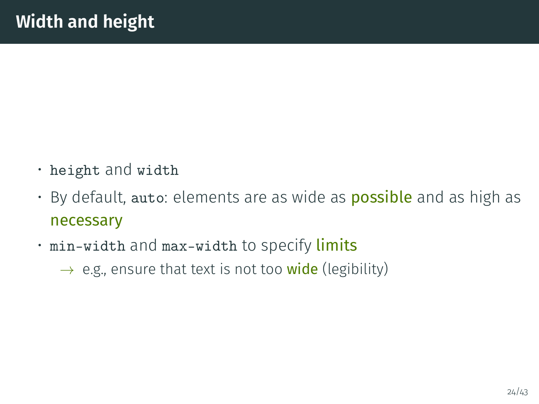- height and width
- By default, auto: elements are as wide as **possible** and as high as necessary
- min-width and max-width to specify limits
	- $\rightarrow$  e.g., ensure that text is not too wide (legibility)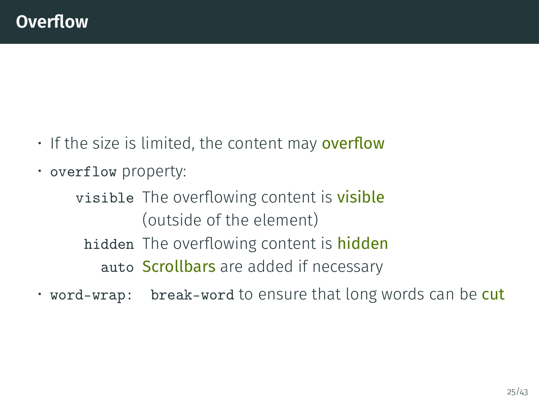- $\cdot$  If the size is limited, the content may overflow
- overflow property:

visible The overflowing content is **visible** (outside of the element) hidden The overflowing content is hidden auto Scrollbars are added if necessary

• word-wrap: break-word to ensure that long words can be cut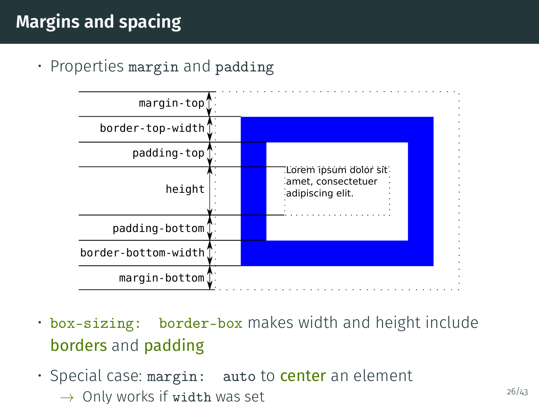# **Margins and spacing**

• Properties margin and padding



- box-sizing: border-box makes width and height include borders and padding
- Special case: margin: auto to center an element  $\rightarrow$  Only works if width was set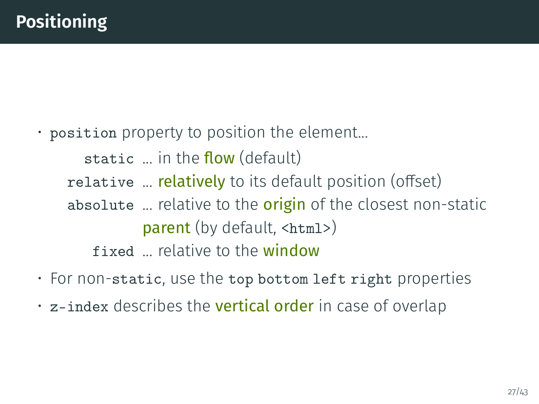• position property to position the element...

- static  $\ldots$  in the flow (default)
- relative ... **relatively** to its default position (offset)
- absolute ... relative to the **origin** of the closest non-static parent (by default, <html>)

fixed ... relative to the window

- For non-static, use the top bottom left right properties
- z-index describes the **vertical order** in case of overlap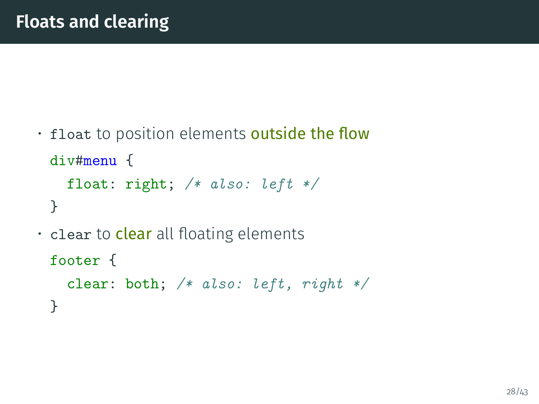$\cdot$  float to position elements outside the flow div#menu { float: right; /\* also: left \*/ }  $\cdot$  clear to **clear** all floating elements footer { clear: both; /\* also: left, right \*/

}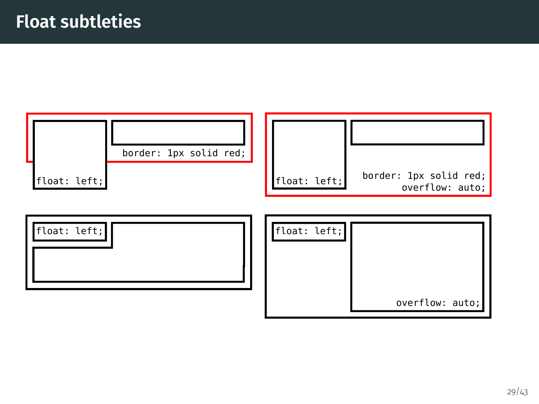

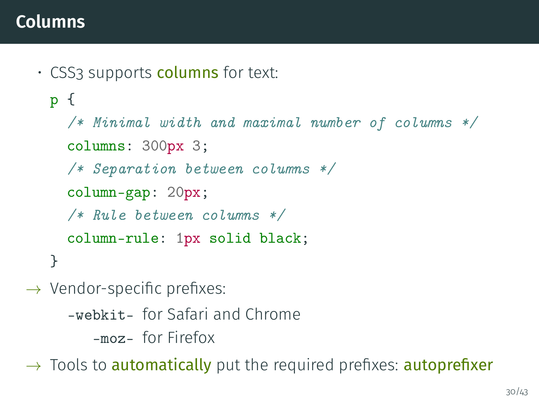### **Columns**

• CSS3 supports **columns** for text:

```
p {
  /* Minimal width and maximal number of columns */
  columns: 300px 3;
  /* Separation between columns */
  column-gap: 20px;
  /* Rule between columns */
  column-rule: 1px solid black;
}
```
 $\rightarrow$  Vendor-specific prefixes:

- -webkit- for Safari and Chrome
	- -moz- for Firefox

 $\rightarrow$  Tools to **automatically** put the required prefixes: **autoprefixer**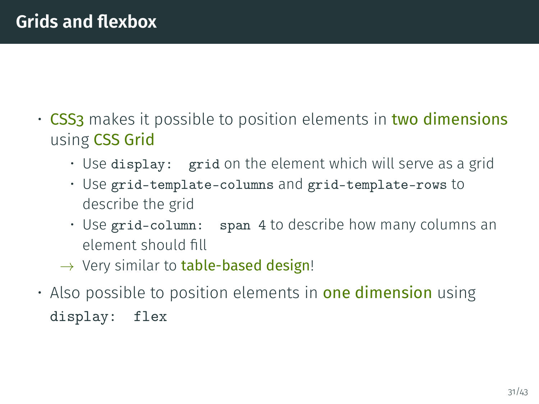- CSS3 makes it possible to position elements in two dimensions using CSS Grid
	- Use display: grid on the element which will serve as a grid
	- Use grid-template-columns and grid-template-rows to describe the grid
	- Use grid-column: span 4 to describe how many columns an element should fill
	- $\rightarrow$  Very similar to table-based design!
- $\cdot$  Also possible to position elements in **one dimension** using display: flex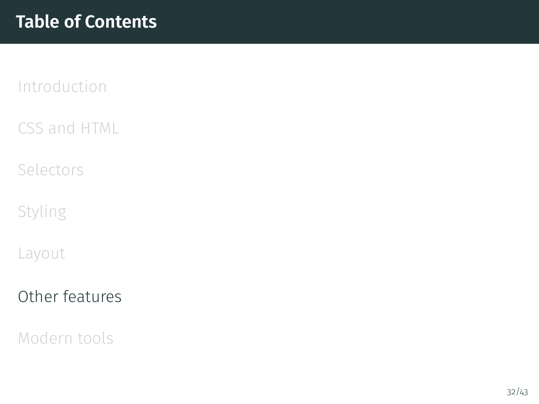<span id="page-31-0"></span>[CSS and HTML](#page-2-0)

[Selectors](#page-10-0)

[Styling](#page-14-0)

[Layout](#page-20-0)

[Other features](#page-31-0)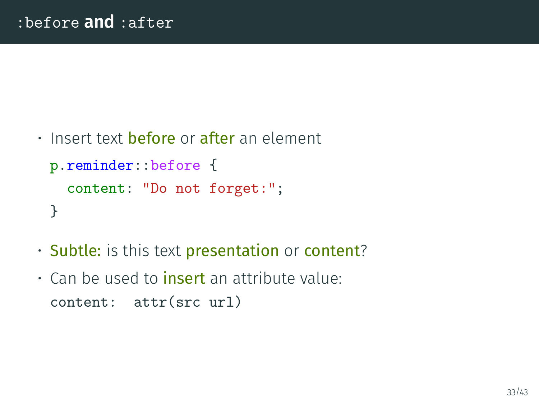```
\cdot Insert text before or after an element
 p.reminder::before {
    content: "Do not forget:";
 }
```
- Subtle: is this text presentation or content?
- Can be used to insert an attribute value: content: attr(src url)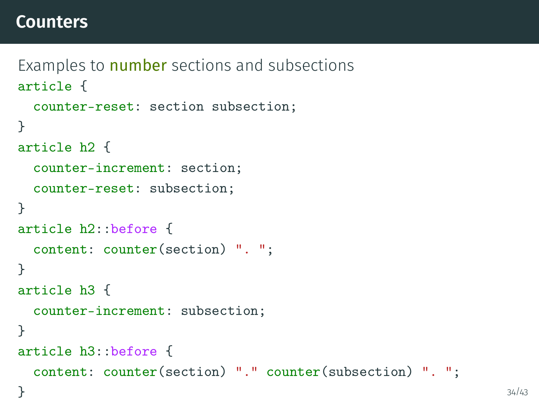### **Counters**

```
Examples to number sections and subsections
article {
 counter-reset: section subsection;
}
article h2 {
 counter-increment: section;
 counter-reset: subsection;
}
article h2::before {
 content: counter(section) ". ";
}
article h3 {
 counter-increment: subsection;
}
article h3::before {
 content: counter(section) "." counter(subsection) ". ";
\} 34/43
```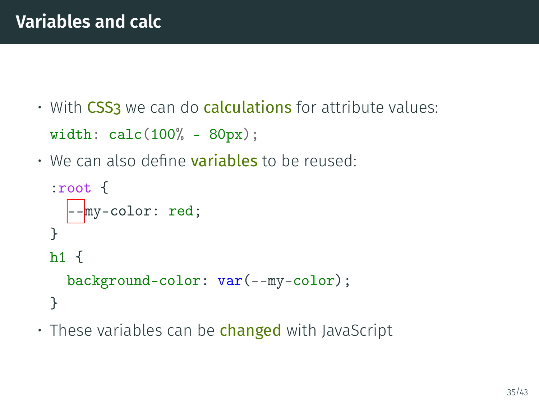- $\cdot$  With CSS3 we can do calculations for attribute values:  $width: calc(100% - 80px);$
- $\cdot$  We can also define **variables** to be reused:

```
:root {
  --my-color: red;
}
h1 \{background-color: var(--my-color);
}
```
 $\cdot$  These variables can be changed with JavaScript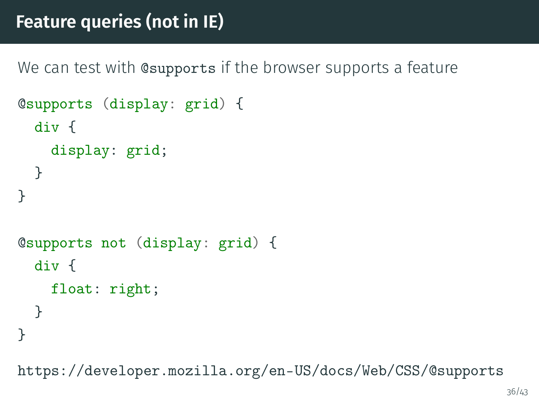# **Feature queries (not in IE)**

We can test with **e**supports if the browser supports a feature

```
@supports (display: grid) {
  div {
    display: grid;
 }
}
@supports not (display: grid) {
  div {
    float: right;
 }
}
```
<https://developer.mozilla.org/en-US/docs/Web/CSS/@supports>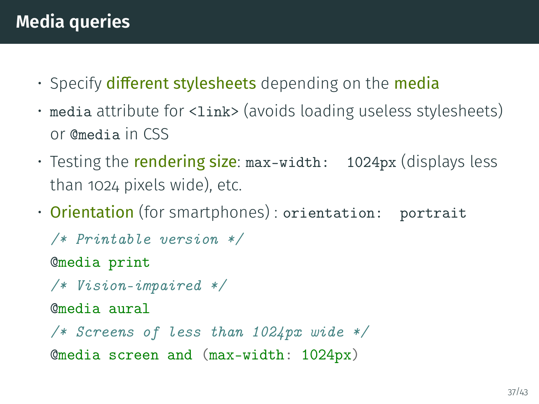- $\cdot$  Specify different stylesheets depending on the media
- media attribute for <link> (avoids loading useless stylesheets) or @media in CSS
- Testing the **rendering size**: max-width: 1024px (displays less than 1024 pixels wide), etc.
- Orientation (for smartphones) : orientation: portrait

```
/* Printable version */
@media print
/* Vision-impaired */
@media aural
/* Screens of less than 1024px wide */
@media screen and (max-width: 1024px)
```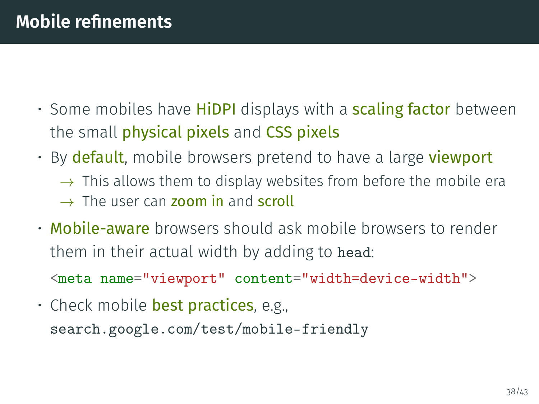- $\cdot$  Some mobiles have **HiDPI** displays with a **scaling factor** between the small physical pixels and CSS pixels
- By **default**, mobile browsers pretend to have a large **viewport** 
	- $\rightarrow$  This allows them to display websites from before the mobile era
	- $\rightarrow$  The user can zoom in and scroll
- Mobile-aware browsers should ask mobile browsers to render them in their actual width by adding to head:

<meta name="viewport" content="width=device-width">

• Check mobile best practices, e.g., <search.google.com/test/mobile-friendly>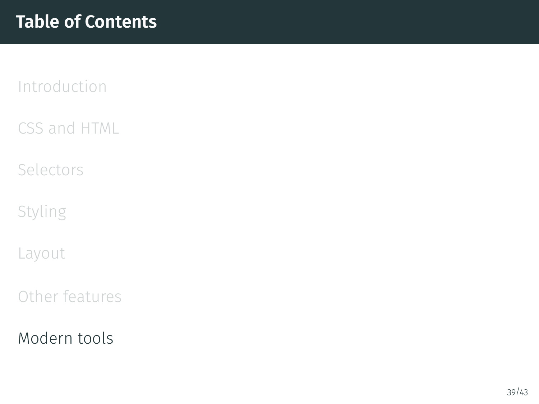<span id="page-38-0"></span>[CSS and HTML](#page-2-0)

[Selectors](#page-10-0)

[Styling](#page-14-0)

[Layout](#page-20-0)

[Other features](#page-31-0)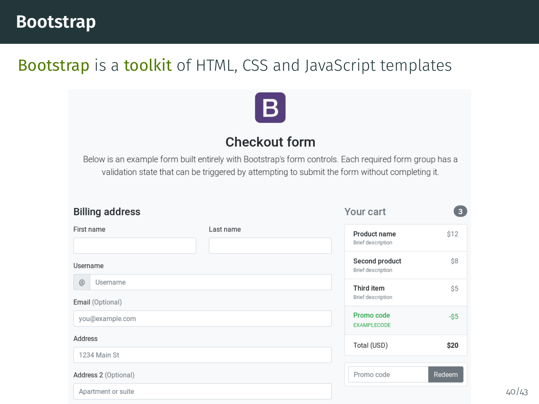#### **Bootstrap**

#### Bootstrap is a toolkit of HTML, CSS and JavaScript templates



#### Checkout form

Below is an example form built entirely with Bootstrap's form controls. Each required form group has a validation state that can be triggered by attempting to submit the form without completing it.

| <b>Billing address</b>            |           | Your cart                           | $\overline{\mathbf{3}}$ |
|-----------------------------------|-----------|-------------------------------------|-------------------------|
| First name                        | Last name | Product name<br>Brief description   | \$12                    |
| Username                          |           | Second product<br>Brief description | \$8                     |
| @<br>Username<br>Email (Optional) |           | Third item<br>Brief description     | \$5                     |
| you@example.com                   |           | Promo code<br><b>EXAMPLECODE</b>    | $-$ \$5                 |
| Address                           |           | Total (USD)                         | \$20                    |
| 1234 Main St                      |           |                                     |                         |
| Address 2 (Optional)              |           | Promo code                          | Redeem                  |
| Apartment or suite                |           |                                     |                         |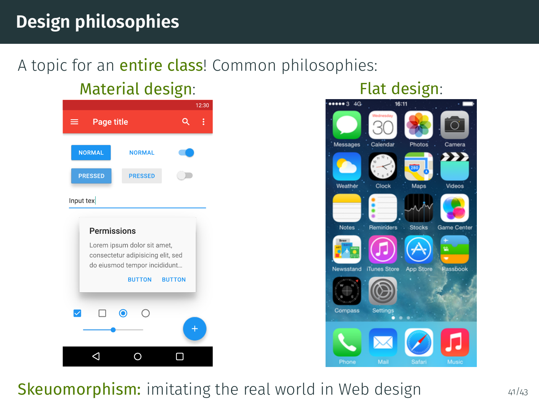# **Design philosophies**

### A topic for an **entire class**! Common philosophies:

# Material design: Flat design:





#### **Skeuomorphism:** imitating the real world in Web design  $41/43$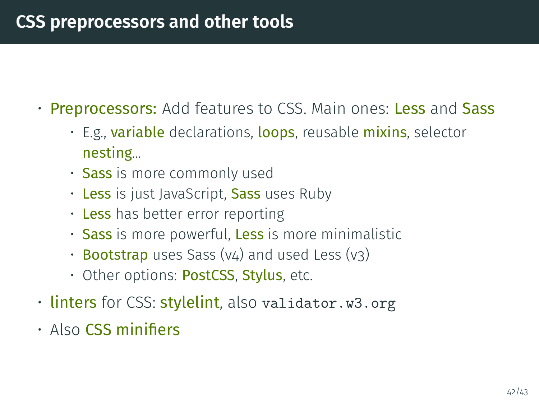# **CSS preprocessors and other tools**

- Preprocessors: Add features to CSS. Main ones: Less and Sass
	- E.g., **variable** declarations, loops, reusable mixins, selector nesting...
	- Sass is more commonly used
	- Less is just JavaScript, Sass uses Ruby
	- Less has better error reporting
	- Sass is more powerful, Less is more minimalistic
	- Bootstrap uses Sass (v4) and used Less (v3)
	- Other options: PostCSS, Stylus, etc.
- linters for CSS: stylelint, also validator.w3.org
- $\cdot$  Also CSS minifiers